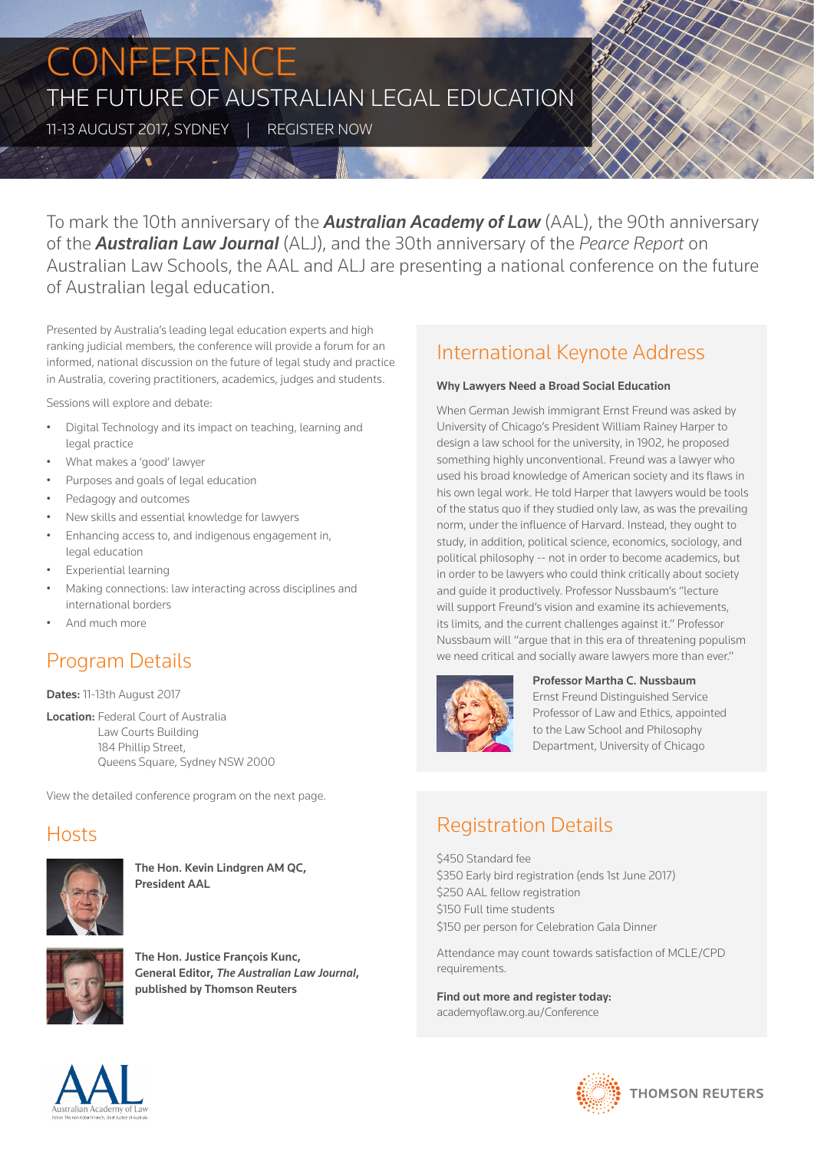# **CONFERENCE** THE FUTURE OF AUSTRALIAN LEGAL EDUCATION

11-13 AUGUST 2017, SYDNEY | REGISTER NOW

To mark the 10th anniversary of the *Australian Academy of Law* (AAL), the 90th anniversary of the *Australian Law Journal* (ALJ), and the 30th anniversary of the *Pearce Report* on Australian Law Schools, the AAL and ALJ are presenting a national conference on the future of Australian legal education.

Presented by Australia's leading legal education experts and high ranking judicial members, the conference will provide a forum for an informed, national discussion on the future of legal study and practice in Australia, covering practitioners, academics, judges and students.

Sessions will explore and debate:

- Digital Technology and its impact on teaching, learning and legal practice
- What makes a 'good' lawyer
- Purposes and goals of legal education
- Pedagogy and outcomes
- New skills and essential knowledge for lawyers
- Enhancing access to, and indigenous engagement in, legal education
- Experiential learning
- Making connections: law interacting across disciplines and international borders
- And much more

# Program Details

#### Dates: 11-13th August 2017

**Location: Federal Court of Australia** Law Courts Building 184 Phillip Street, Queens Square, Sydney NSW 2000

View the detailed conference program on the next page.

### **Hosts**



The Hon. Kevin Lindgren AM QC, President AAL



The Hon. Justice Francois Kunc, General Editor, *The Australian Law Journal*, published by Thomson Reuters

# International Keynote Address

#### Why Lawyers Need a Broad Social Education

When German Jewish immigrant Ernst Freund was asked by University of Chicago's President William Rainey Harper to design a law school for the university, in 1902, he proposed something highly unconventional. Freund was a lawyer who used his broad knowledge of American society and its flaws in his own legal work. He told Harper that lawyers would be tools of the status quo if they studied only law, as was the prevailing norm, under the influence of Harvard. Instead, they ought to study, in addition, political science, economics, sociology, and political philosophy -- not in order to become academics, but in order to be lawyers who could think critically about society and guide it productively. Professor Nussbaum's ''lecture will support Freund's vision and examine its achievements, its limits, and the current challenges against it." Professor Nussbaum will "argue that in this era of threatening populism we need critical and socially aware lawyers more than ever."



Professor Martha C. Nussbaum Ernst Freund Distinguished Service Professor of Law and Ethics, appointed to the Law School and Philosophy Department, University of Chicago

## Registration Details

\$450 Standard fee \$350 Early bird registration (ends 1st June 2017) \$250 AAL fellow registration \$150 Full time students \$150 per person for Celebration Gala Dinner

Attendance may count towards satisfaction of MCLE/CPD requirements.

Find out more and register today: academyoflaw.org.au/Conference